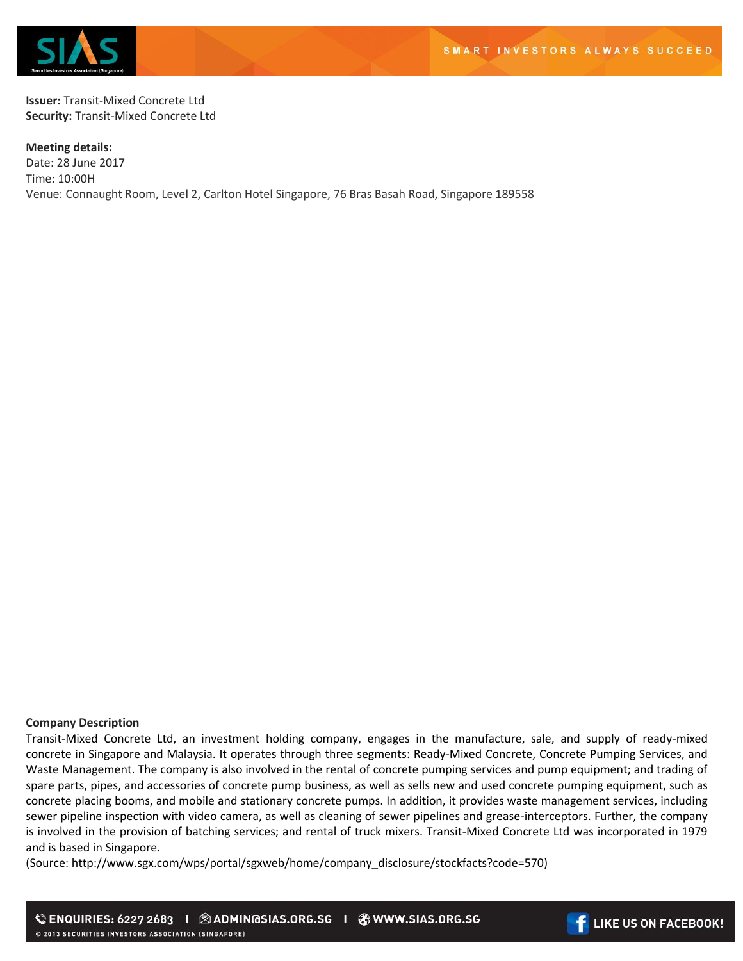

**Issuer:** Transit-Mixed Concrete Ltd **Security:** Transit-Mixed Concrete Ltd

**Meeting details:**  Date: 28 June 2017 Time: 10:00H Venue: Connaught Room, Level 2, Carlton Hotel Singapore, 76 Bras Basah Road, Singapore 189558

## **Company Description**

Transit-Mixed Concrete Ltd, an investment holding company, engages in the manufacture, sale, and supply of ready-mixed concrete in Singapore and Malaysia. It operates through three segments: Ready-Mixed Concrete, Concrete Pumping Services, and Waste Management. The company is also involved in the rental of concrete pumping services and pump equipment; and trading of spare parts, pipes, and accessories of concrete pump business, as well as sells new and used concrete pumping equipment, such as concrete placing booms, and mobile and stationary concrete pumps. In addition, it provides waste management services, including sewer pipeline inspection with video camera, as well as cleaning of sewer pipelines and grease-interceptors. Further, the company is involved in the provision of batching services; and rental of truck mixers. Transit-Mixed Concrete Ltd was incorporated in 1979 and is based in Singapore.

(Source: http://www.sgx.com/wps/portal/sgxweb/home/company\_disclosure/stockfacts?code=570)